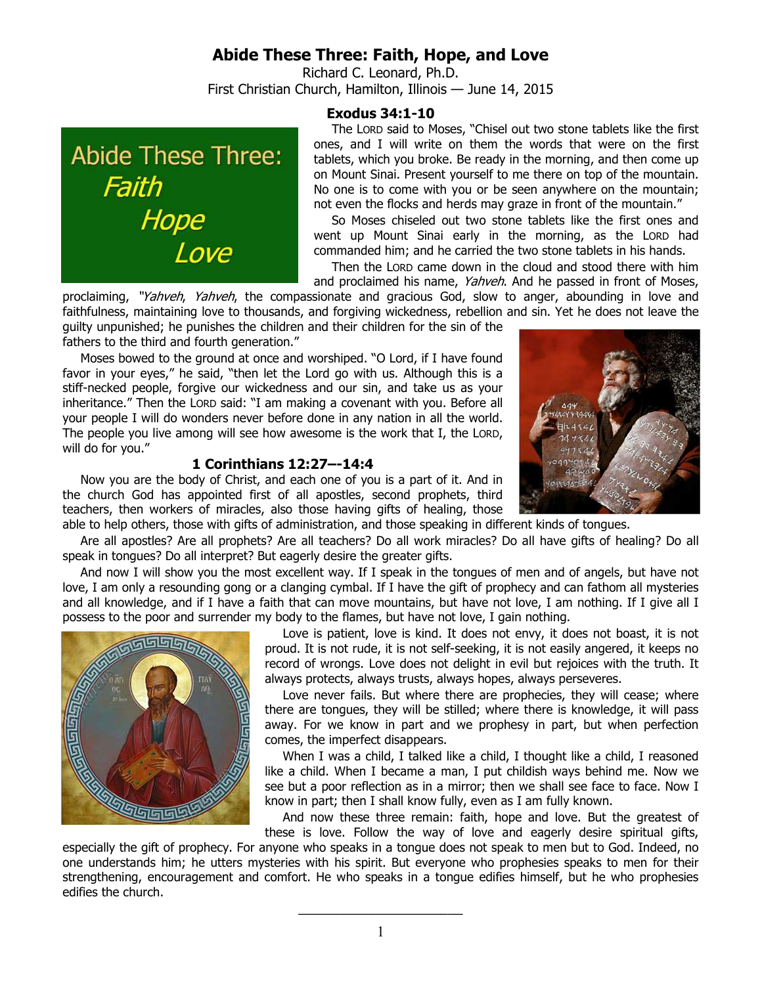## **Abide These Three: Faith, Hope, and Love**

Richard C. Leonard, Ph.D. First Christian Church, Hamilton, Illinois — June 14, 2015

## **Exodus 34:1-10**

**Abide These Three:** Faith Hope Love

The LORD said to Moses, "Chisel out two stone tablets like the first ones, and I will write on them the words that were on the first tablets, which you broke. Be ready in the morning, and then come up on Mount Sinai. Present yourself to me there on top of the mountain. No one is to come with you or be seen anywhere on the mountain; not even the flocks and herds may graze in front of the mountain."

So Moses chiseled out two stone tablets like the first ones and went up Mount Sinai early in the morning, as the LORD had commanded him; and he carried the two stone tablets in his hands.

Then the LORD came down in the cloud and stood there with him and proclaimed his name, Yahveh. And he passed in front of Moses,

proclaiming, "Yahveh, Yahveh, the compassionate and gracious God, slow to anger, abounding in love and faithfulness, maintaining love to thousands, and forgiving wickedness, rebellion and sin. Yet he does not leave the guilty unpunished; he punishes the children and their children for the sin of the fathers to the third and fourth generation."

Moses bowed to the ground at once and worshiped. "O Lord, if I have found favor in your eyes," he said, "then let the Lord go with us. Although this is a stiff-necked people, forgive our wickedness and our sin, and take us as your inheritance." Then the LORD said: "I am making a covenant with you. Before all your people I will do wonders never before done in any nation in all the world. The people you live among will see how awesome is the work that I, the LORD, will do for you."

## **1 Corinthians 12:27–-14:4**

Now you are the body of Christ, and each one of you is a part of it. And in the church God has appointed first of all apostles, second prophets, third teachers, then workers of miracles, also those having gifts of healing, those able to help others, those with gifts of administration, and those speaking in different kinds of tongues.

Are all apostles? Are all prophets? Are all teachers? Do all work miracles? Do all have gifts of healing? Do all speak in tongues? Do all interpret? But eagerly desire the greater gifts.

And now I will show you the most excellent way. If I speak in the tongues of men and of angels, but have not love, I am only a resounding gong or a clanging cymbal. If I have the gift of prophecy and can fathom all mysteries and all knowledge, and if I have a faith that can move mountains, but have not love, I am nothing. If I give all I possess to the poor and surrender my body to the flames, but have not love, I gain nothing.



Love is patient, love is kind. It does not envy, it does not boast, it is not proud. It is not rude, it is not self-seeking, it is not easily angered, it keeps no record of wrongs. Love does not delight in evil but rejoices with the truth. It always protects, always trusts, always hopes, always perseveres.

Love never fails. But where there are prophecies, they will cease; where there are tongues, they will be stilled; where there is knowledge, it will pass away. For we know in part and we prophesy in part, but when perfection comes, the imperfect disappears.

When I was a child, I talked like a child, I thought like a child, I reasoned like a child. When I became a man, I put childish ways behind me. Now we see but a poor reflection as in a mirror; then we shall see face to face. Now I know in part; then I shall know fully, even as I am fully known.

And now these three remain: faith, hope and love. But the greatest of these is love. Follow the way of love and eagerly desire spiritual gifts,

especially the gift of prophecy. For anyone who speaks in a tongue does not speak to men but to God. Indeed, no one understands him; he utters mysteries with his spirit. But everyone who prophesies speaks to men for their strengthening, encouragement and comfort. He who speaks in a tongue edifies himself, but he who prophesies edifies the church.

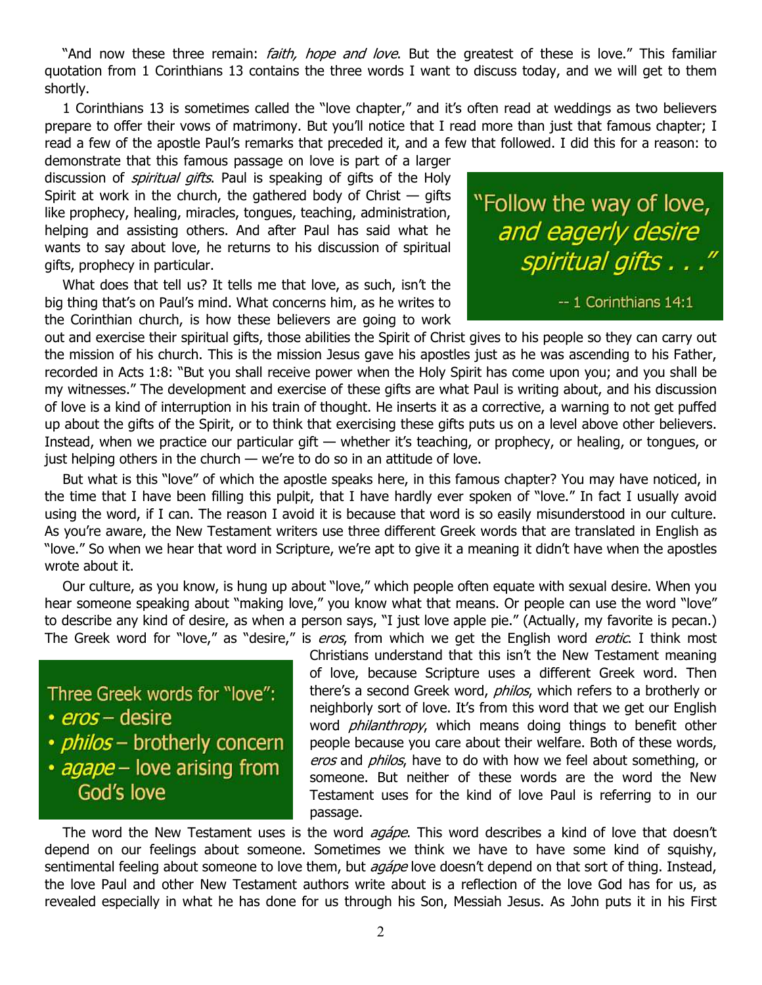"And now these three remain: *faith, hope and love*. But the greatest of these is love." This familiar quotation from 1 Corinthians 13 contains the three words I want to discuss today, and we will get to them shortly.

1 Corinthians 13 is sometimes called the "love chapter," and it's often read at weddings as two believers prepare to offer their vows of matrimony. But you'll notice that I read more than just that famous chapter; I read a few of the apostle Paul's remarks that preceded it, and a few that followed. I did this for a reason: to

demonstrate that this famous passage on love is part of a larger discussion of *spiritual gifts*. Paul is speaking of gifts of the Holy Spirit at work in the church, the gathered body of Christ  $-$  gifts like prophecy, healing, miracles, tongues, teaching, administration, helping and assisting others. And after Paul has said what he wants to say about love, he returns to his discussion of spiritual gifts, prophecy in particular.

What does that tell us? It tells me that love, as such, isn't the big thing that's on Paul's mind. What concerns him, as he writes to the Corinthian church, is how these believers are going to work "Follow the way of love, and eagerly desire spiritual gifts . . ."

-- 1 Corinthians 14:1

out and exercise their spiritual gifts, those abilities the Spirit of Christ gives to his people so they can carry out the mission of his church. This is the mission Jesus gave his apostles just as he was ascending to his Father, recorded in Acts 1:8: "But you shall receive power when the Holy Spirit has come upon you; and you shall be my witnesses." The development and exercise of these gifts are what Paul is writing about, and his discussion of love is a kind of interruption in his train of thought. He inserts it as a corrective, a warning to not get puffed up about the gifts of the Spirit, or to think that exercising these gifts puts us on a level above other believers. Instead, when we practice our particular gift — whether it's teaching, or prophecy, or healing, or tongues, or just helping others in the church  $-$  we're to do so in an attitude of love.

But what is this "love" of which the apostle speaks here, in this famous chapter? You may have noticed, in the time that I have been filling this pulpit, that I have hardly ever spoken of "love." In fact I usually avoid using the word, if I can. The reason I avoid it is because that word is so easily misunderstood in our culture. As you're aware, the New Testament writers use three different Greek words that are translated in English as "love." So when we hear that word in Scripture, we're apt to give it a meaning it didn't have when the apostles wrote about it.

Our culture, as you know, is hung up about "love," which people often equate with sexual desire. When you hear someone speaking about "making love," you know what that means. Or people can use the word "love" to describe any kind of desire, as when a person says, "I just love apple pie." (Actually, my favorite is pecan.) The Greek word for "love," as "desire," is eros, from which we get the English word erotic. I think most

Three Greek words for "love": • eros – desire · philos - brotherly concern • agape - love arising from

God's love

Christians understand that this isn't the New Testament meaning of love, because Scripture uses a different Greek word. Then there's a second Greek word, philos, which refers to a brotherly or neighborly sort of love. It's from this word that we get our English word *philanthropy*, which means doing things to benefit other people because you care about their welfare. Both of these words, eros and philos, have to do with how we feel about something, or someone. But neither of these words are the word the New Testament uses for the kind of love Paul is referring to in our passage.

The word the New Testament uses is the word *agápe*. This word describes a kind of love that doesn't depend on our feelings about someone. Sometimes we think we have to have some kind of squishy, sentimental feeling about someone to love them, but *agápe* love doesn't depend on that sort of thing. Instead, the love Paul and other New Testament authors write about is a reflection of the love God has for us, as revealed especially in what he has done for us through his Son, Messiah Jesus. As John puts it in his First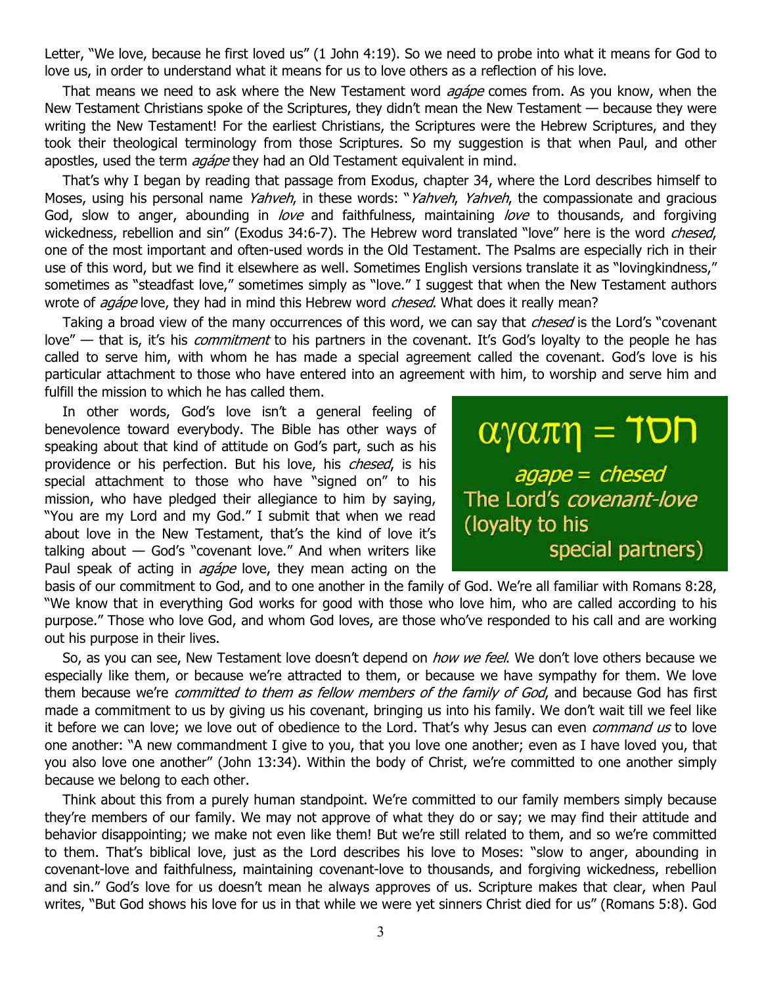Letter, "We love, because he first loved us" (1 John 4:19). So we need to probe into what it means for God to love us, in order to understand what it means for us to love others as a reflection of his love.

That means we need to ask where the New Testament word *agápe* comes from. As you know, when the New Testament Christians spoke of the Scriptures, they didn't mean the New Testament — because they were writing the New Testament! For the earliest Christians, the Scriptures were the Hebrew Scriptures, and they took their theological terminology from those Scriptures. So my suggestion is that when Paul, and other apostles, used the term *agápe* they had an Old Testament equivalent in mind.

That's why I began by reading that passage from Exodus, chapter 34, where the Lord describes himself to Moses, using his personal name Yahveh, in these words: "Yahveh, Yahveh, the compassionate and gracious God, slow to anger, abounding in love and faithfulness, maintaining love to thousands, and forgiving wickedness, rebellion and sin" (Exodus 34:6-7). The Hebrew word translated "love" here is the word *chesed*, one of the most important and often-used words in the Old Testament. The Psalms are especially rich in their use of this word, but we find it elsewhere as well. Sometimes English versions translate it as "lovingkindness," sometimes as "steadfast love," sometimes simply as "love." I suggest that when the New Testament authors wrote of *agápe* love, they had in mind this Hebrew word *chesed*. What does it really mean?

Taking a broad view of the many occurrences of this word, we can say that *chesed* is the Lord's "covenant love" — that is, it's his *commitment* to his partners in the covenant. It's God's loyalty to the people he has called to serve him, with whom he has made a special agreement called the covenant. God's love is his particular attachment to those who have entered into an agreement with him, to worship and serve him and fulfill the mission to which he has called them.

In other words, God's love isn't a general feeling of benevolence toward everybody. The Bible has other ways of speaking about that kind of attitude on God's part, such as his providence or his perfection. But his love, his *chesed*, is his special attachment to those who have "signed on" to his mission, who have pledged their allegiance to him by saying, "You are my Lord and my God." I submit that when we read about love in the New Testament, that's the kind of love it's talking about — God's "covenant love." And when writers like Paul speak of acting in *agápe* love, they mean acting on the

 $αγαπη = 1DD$ agape = chesed The Lord's covenant-love (loyalty to his special partners)

basis of our commitment to God, and to one another in the family of God. We're all familiar with Romans 8:28, "We know that in everything God works for good with those who love him, who are called according to his purpose." Those who love God, and whom God loves, are those who've responded to his call and are working out his purpose in their lives.

So, as you can see, New Testament love doesn't depend on *how we feel*. We don't love others because we especially like them, or because we're attracted to them, or because we have sympathy for them. We love them because we're *committed to them as fellow members of the family of God*, and because God has first made a commitment to us by giving us his covenant, bringing us into his family. We don't wait till we feel like it before we can love; we love out of obedience to the Lord. That's why Jesus can even *command us* to love one another: "A new commandment I give to you, that you love one another; even as I have loved you, that you also love one another" (John 13:34). Within the body of Christ, we're committed to one another simply because we belong to each other.

Think about this from a purely human standpoint. We're committed to our family members simply because they're members of our family. We may not approve of what they do or say; we may find their attitude and behavior disappointing; we make not even like them! But we're still related to them, and so we're committed to them. That's biblical love, just as the Lord describes his love to Moses: "slow to anger, abounding in covenant-love and faithfulness, maintaining covenant-love to thousands, and forgiving wickedness, rebellion and sin." God's love for us doesn't mean he always approves of us. Scripture makes that clear, when Paul writes, "But God shows his love for us in that while we were yet sinners Christ died for us" (Romans 5:8). God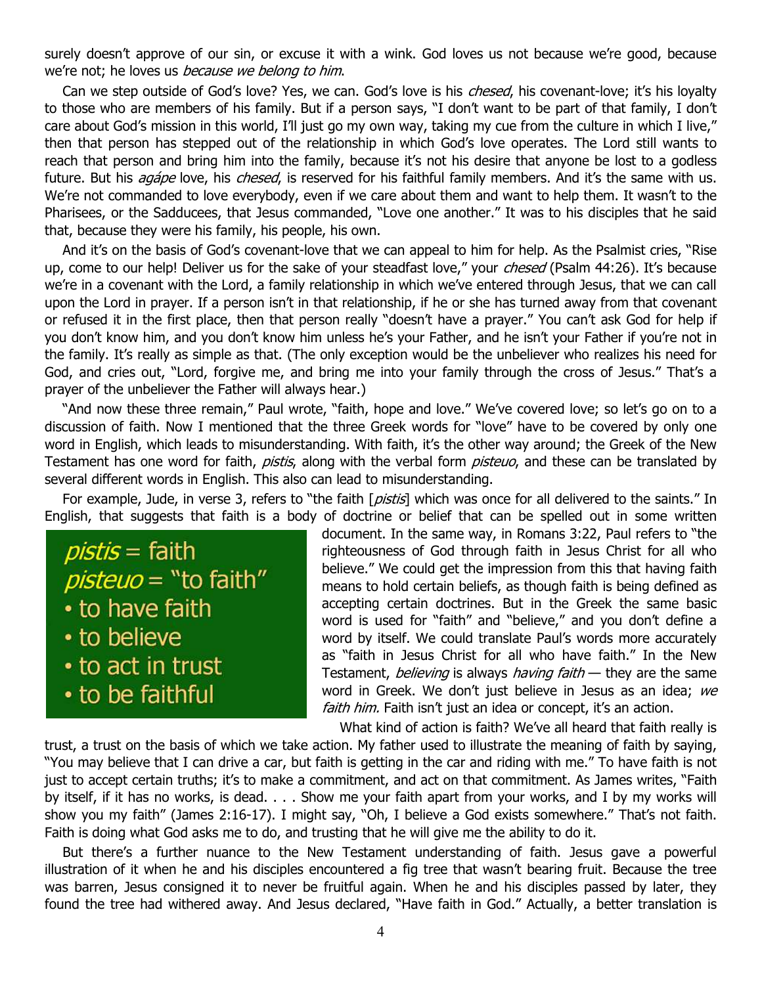surely doesn't approve of our sin, or excuse it with a wink. God loves us not because we're good, because we're not; he loves us *because we belong to him*.

Can we step outside of God's love? Yes, we can. God's love is his *chesed*, his covenant-love; it's his loyalty to those who are members of his family. But if a person says, "I don't want to be part of that family, I don't care about God's mission in this world, I'll just go my own way, taking my cue from the culture in which I live," then that person has stepped out of the relationship in which God's love operates. The Lord still wants to reach that person and bring him into the family, because it's not his desire that anyone be lost to a godless future. But his *agápe* love, his *chesed*, is reserved for his faithful family members. And it's the same with us. We're not commanded to love everybody, even if we care about them and want to help them. It wasn't to the Pharisees, or the Sadducees, that Jesus commanded, "Love one another." It was to his disciples that he said that, because they were his family, his people, his own.

And it's on the basis of God's covenant-love that we can appeal to him for help. As the Psalmist cries, "Rise up, come to our help! Deliver us for the sake of your steadfast love," your chesed (Psalm 44:26). It's because we're in a covenant with the Lord, a family relationship in which we've entered through Jesus, that we can call upon the Lord in prayer. If a person isn't in that relationship, if he or she has turned away from that covenant or refused it in the first place, then that person really "doesn't have a prayer." You can't ask God for help if you don't know him, and you don't know him unless he's your Father, and he isn't your Father if you're not in the family. It's really as simple as that. (The only exception would be the unbeliever who realizes his need for God, and cries out, "Lord, forgive me, and bring me into your family through the cross of Jesus." That's a prayer of the unbeliever the Father will always hear.)

"And now these three remain," Paul wrote, "faith, hope and love." We've covered love; so let's go on to a discussion of faith. Now I mentioned that the three Greek words for "love" have to be covered by only one word in English, which leads to misunderstanding. With faith, it's the other way around; the Greek of the New Testament has one word for faith, *pistis*, along with the verbal form *pisteuo*, and these can be translated by several different words in English. This also can lead to misunderstanding.

For example, Jude, in verse 3, refers to "the faith [*pistis*] which was once for all delivered to the saints." In English, that suggests that faith is a body of doctrine or belief that can be spelled out in some written

- $pistis = \text{faith}$ pisteuo = "to faith" • to have faith
- to believe
- to act in trust
- to be faithful

document. In the same way, in Romans 3:22, Paul refers to "the righteousness of God through faith in Jesus Christ for all who believe." We could get the impression from this that having faith means to hold certain beliefs, as though faith is being defined as accepting certain doctrines. But in the Greek the same basic word is used for "faith" and "believe," and you don't define a word by itself. We could translate Paul's words more accurately as "faith in Jesus Christ for all who have faith." In the New Testament, *believing* is always *having faith*  $-$  they are the same word in Greek. We don't just believe in Jesus as an idea; we faith him. Faith isn't just an idea or concept, it's an action.

What kind of action is faith? We've all heard that faith really is trust, a trust on the basis of which we take action. My father used to illustrate the meaning of faith by saying, "You may believe that I can drive a car, but faith is getting in the car and riding with me." To have faith is not just to accept certain truths; it's to make a commitment, and act on that commitment. As James writes, "Faith by itself, if it has no works, is dead. . . . Show me your faith apart from your works, and I by my works will show you my faith" (James 2:16-17). I might say, "Oh, I believe a God exists somewhere." That's not faith. Faith is doing what God asks me to do, and trusting that he will give me the ability to do it.

But there's a further nuance to the New Testament understanding of faith. Jesus gave a powerful illustration of it when he and his disciples encountered a fig tree that wasn't bearing fruit. Because the tree was barren, Jesus consigned it to never be fruitful again. When he and his disciples passed by later, they found the tree had withered away. And Jesus declared, "Have faith in God." Actually, a better translation is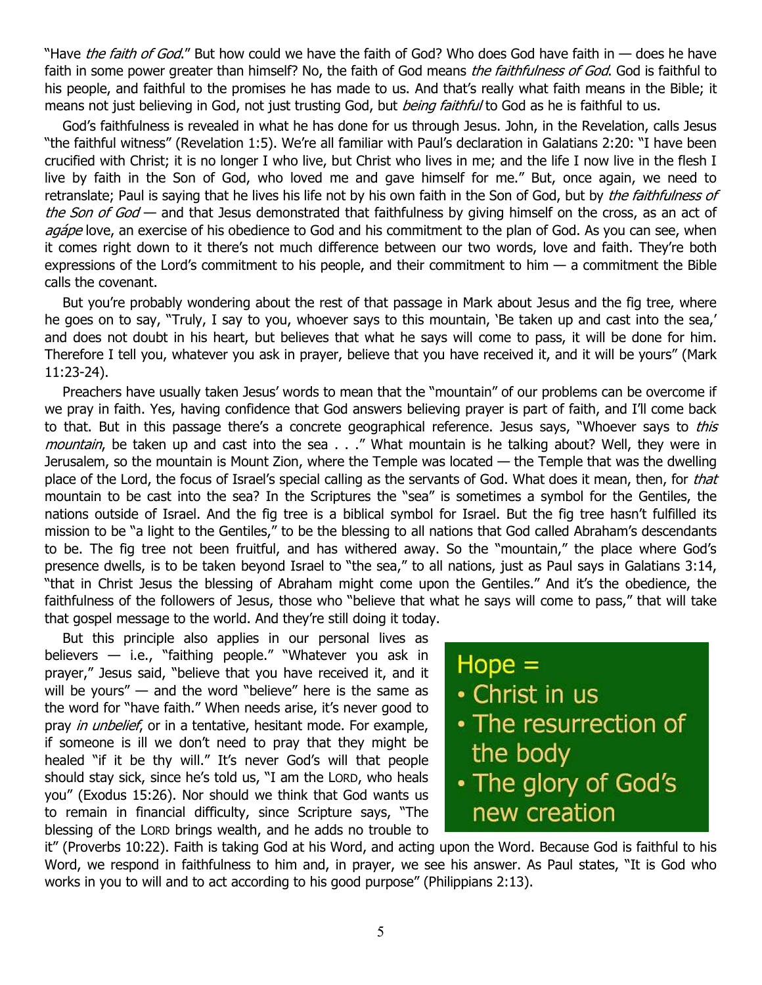"Have *the faith of God."* But how could we have the faith of God? Who does God have faith in — does he have faith in some power greater than himself? No, the faith of God means the faithfulness of God. God is faithful to his people, and faithful to the promises he has made to us. And that's really what faith means in the Bible; it means not just believing in God, not just trusting God, but *being faithful* to God as he is faithful to us.

God's faithfulness is revealed in what he has done for us through Jesus. John, in the Revelation, calls Jesus "the faithful witness" (Revelation 1:5). We're all familiar with Paul's declaration in Galatians 2:20: "I have been crucified with Christ; it is no longer I who live, but Christ who lives in me; and the life I now live in the flesh I live by faith in the Son of God, who loved me and gave himself for me." But, once again, we need to retranslate; Paul is saying that he lives his life not by his own faith in the Son of God, but by the faithfulness of the Son of God — and that Jesus demonstrated that faithfulness by giving himself on the cross, as an act of agápe love, an exercise of his obedience to God and his commitment to the plan of God. As you can see, when it comes right down to it there's not much difference between our two words, love and faith. They're both expressions of the Lord's commitment to his people, and their commitment to him — a commitment the Bible calls the covenant.

But you're probably wondering about the rest of that passage in Mark about Jesus and the fig tree, where he goes on to say, "Truly, I say to you, whoever says to this mountain, 'Be taken up and cast into the sea,' and does not doubt in his heart, but believes that what he says will come to pass, it will be done for him. Therefore I tell you, whatever you ask in prayer, believe that you have received it, and it will be yours" (Mark 11:23-24).

Preachers have usually taken Jesus' words to mean that the "mountain" of our problems can be overcome if we pray in faith. Yes, having confidence that God answers believing prayer is part of faith, and I'll come back to that. But in this passage there's a concrete geographical reference. Jesus says, "Whoever says to this mountain, be taken up and cast into the sea . . ." What mountain is he talking about? Well, they were in Jerusalem, so the mountain is Mount Zion, where the Temple was located — the Temple that was the dwelling place of the Lord, the focus of Israel's special calling as the servants of God. What does it mean, then, for that mountain to be cast into the sea? In the Scriptures the "sea" is sometimes a symbol for the Gentiles, the nations outside of Israel. And the fig tree is a biblical symbol for Israel. But the fig tree hasn't fulfilled its mission to be "a light to the Gentiles," to be the blessing to all nations that God called Abraham's descendants to be. The fig tree not been fruitful, and has withered away. So the "mountain," the place where God's presence dwells, is to be taken beyond Israel to "the sea," to all nations, just as Paul says in Galatians 3:14, "that in Christ Jesus the blessing of Abraham might come upon the Gentiles." And it's the obedience, the faithfulness of the followers of Jesus, those who "believe that what he says will come to pass," that will take that gospel message to the world. And they're still doing it today.

But this principle also applies in our personal lives as believers — i.e., "faithing people." "Whatever you ask in prayer," Jesus said, "believe that you have received it, and it will be yours" — and the word "believe" here is the same as the word for "have faith." When needs arise, it's never good to pray in unbelief, or in a tentative, hesitant mode. For example, if someone is ill we don't need to pray that they might be healed "if it be thy will." It's never God's will that people should stay sick, since he's told us, "I am the LORD, who heals you" (Exodus 15:26). Nor should we think that God wants us to remain in financial difficulty, since Scripture says, "The blessing of the LORD brings wealth, and he adds no trouble to

 $Hope =$ 

- Christ in us
- The resurrection of the body
- The glory of God's new creation

it" (Proverbs 10:22). Faith is taking God at his Word, and acting upon the Word. Because God is faithful to his Word, we respond in faithfulness to him and, in prayer, we see his answer. As Paul states, "It is God who works in you to will and to act according to his good purpose" (Philippians 2:13).